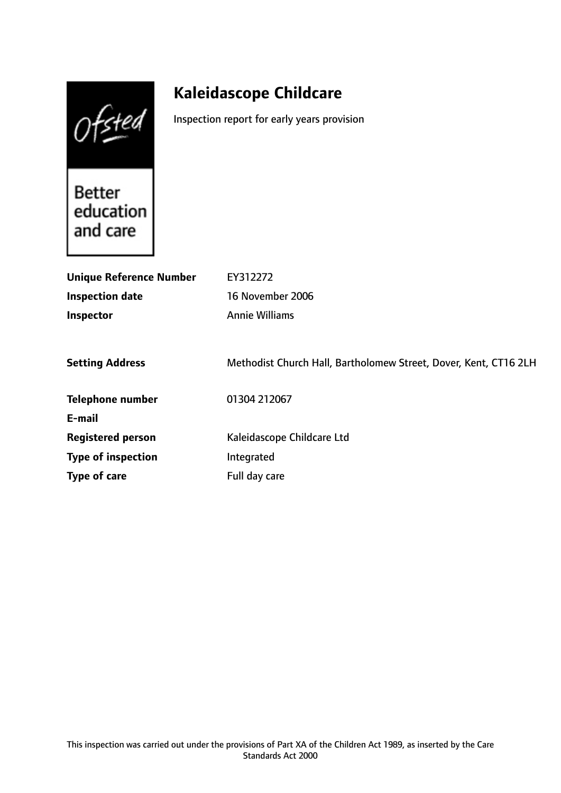Ofsted

# **Kaleidascope Childcare**

Inspection report for early years provision

**Better** education and care

| <b>Unique Reference Number</b> | EY312272                                                         |
|--------------------------------|------------------------------------------------------------------|
| <b>Inspection date</b>         | 16 November 2006                                                 |
| Inspector                      | <b>Annie Williams</b>                                            |
|                                |                                                                  |
| <b>Setting Address</b>         | Methodist Church Hall, Bartholomew Street, Dover, Kent, CT16 2LH |
| <b>Telephone number</b>        | 01304 212067                                                     |
| E-mail                         |                                                                  |
| <b>Registered person</b>       | Kaleidascope Childcare Ltd                                       |
| <b>Type of inspection</b>      | Integrated                                                       |
| Type of care                   | Full day care                                                    |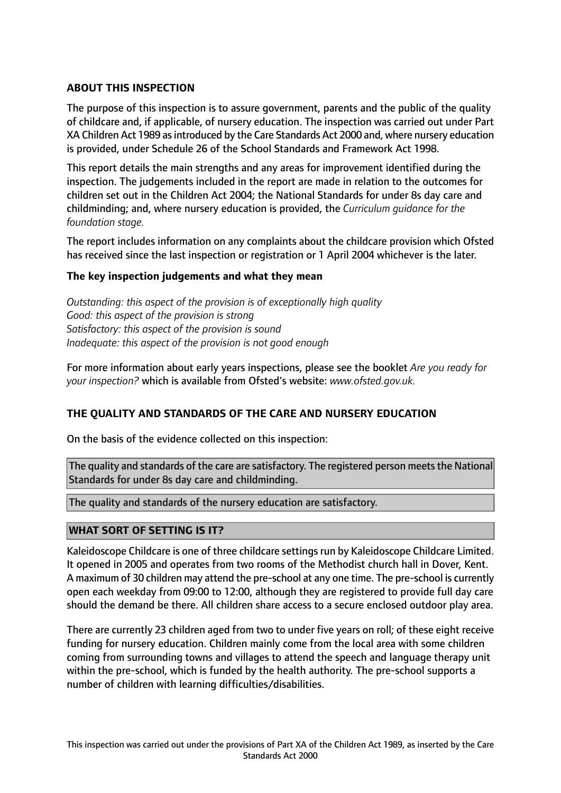## **ABOUT THIS INSPECTION**

The purpose of this inspection is to assure government, parents and the public of the quality of childcare and, if applicable, of nursery education. The inspection was carried out under Part XA Children Act 1989 as introduced by the Care Standards Act 2000 and, where nursery education is provided, under Schedule 26 of the School Standards and Framework Act 1998.

This report details the main strengths and any areas for improvement identified during the inspection. The judgements included in the report are made in relation to the outcomes for children set out in the Children Act 2004; the National Standards for under 8s day care and childminding; and, where nursery education is provided, the *Curriculum guidance for the foundation stage.*

The report includes information on any complaints about the childcare provision which Ofsted has received since the last inspection or registration or 1 April 2004 whichever is the later.

### **The key inspection judgements and what they mean**

*Outstanding: this aspect of the provision is of exceptionally high quality Good: this aspect of the provision is strong Satisfactory: this aspect of the provision is sound Inadequate: this aspect of the provision is not good enough*

For more information about early years inspections, please see the booklet *Are you ready for your inspection?* which is available from Ofsted's website: *www.ofsted.gov.uk.*

### **THE QUALITY AND STANDARDS OF THE CARE AND NURSERY EDUCATION**

On the basis of the evidence collected on this inspection:

The quality and standards of the care are satisfactory. The registered person meets the National Standards for under 8s day care and childminding.

The quality and standards of the nursery education are satisfactory.

### **WHAT SORT OF SETTING IS IT?**

Kaleidoscope Childcare is one of three childcare settings run by Kaleidoscope Childcare Limited. It opened in 2005 and operates from two rooms of the Methodist church hall in Dover, Kent. A maximum of 30 children may attend the pre-school at any one time. The pre-school is currently open each weekday from 09:00 to 12:00, although they are registered to provide full day care should the demand be there. All children share access to a secure enclosed outdoor play area.

There are currently 23 children aged from two to under five years on roll; of these eight receive funding for nursery education. Children mainly come from the local area with some children coming from surrounding towns and villages to attend the speech and language therapy unit within the pre-school, which is funded by the health authority. The pre-school supports a number of children with learning difficulties/disabilities.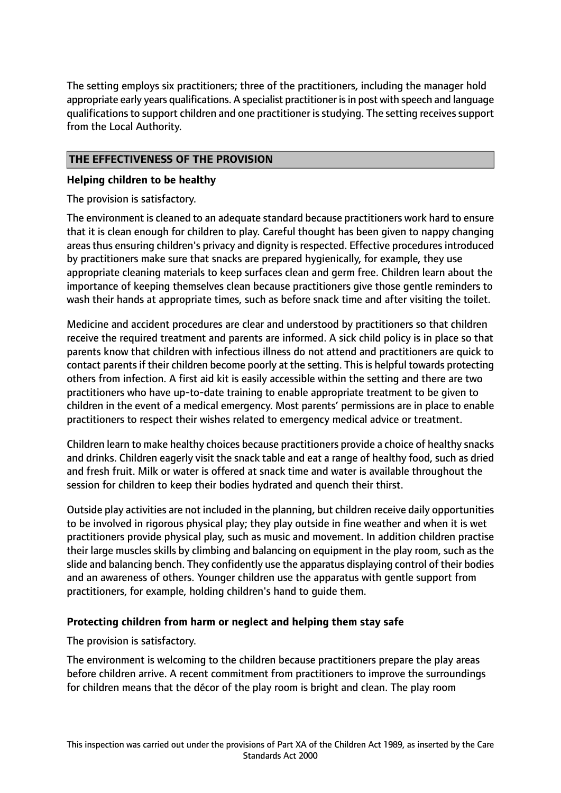The setting employs six practitioners; three of the practitioners, including the manager hold appropriate early years qualifications. A specialist practitioner is in post with speech and language qualifications to support children and one practitioner is studying. The setting receives support from the Local Authority.

## **THE EFFECTIVENESS OF THE PROVISION**

### **Helping children to be healthy**

The provision is satisfactory.

The environment is cleaned to an adequate standard because practitioners work hard to ensure that it is clean enough for children to play. Careful thought has been given to nappy changing areas thus ensuring children's privacy and dignity is respected. Effective procedures introduced by practitioners make sure that snacks are prepared hygienically, for example, they use appropriate cleaning materials to keep surfaces clean and germ free. Children learn about the importance of keeping themselves clean because practitioners give those gentle reminders to wash their hands at appropriate times, such as before snack time and after visiting the toilet.

Medicine and accident procedures are clear and understood by practitioners so that children receive the required treatment and parents are informed. A sick child policy is in place so that parents know that children with infectious illness do not attend and practitioners are quick to contact parents if their children become poorly at the setting. This is helpful towards protecting others from infection. A first aid kit is easily accessible within the setting and there are two practitioners who have up-to-date training to enable appropriate treatment to be given to children in the event of a medical emergency. Most parents' permissions are in place to enable practitioners to respect their wishes related to emergency medical advice or treatment.

Children learn to make healthy choices because practitioners provide a choice of healthy snacks and drinks. Children eagerly visit the snack table and eat a range of healthy food, such as dried and fresh fruit. Milk or water is offered at snack time and water is available throughout the session for children to keep their bodies hydrated and quench their thirst.

Outside play activities are not included in the planning, but children receive daily opportunities to be involved in rigorous physical play; they play outside in fine weather and when it is wet practitioners provide physical play, such as music and movement. In addition children practise their large muscles skills by climbing and balancing on equipment in the play room, such as the slide and balancing bench. They confidently use the apparatus displaying control of their bodies and an awareness of others. Younger children use the apparatus with gentle support from practitioners, for example, holding children's hand to guide them.

## **Protecting children from harm or neglect and helping them stay safe**

The provision is satisfactory.

The environment is welcoming to the children because practitioners prepare the play areas before children arrive. A recent commitment from practitioners to improve the surroundings for children means that the décor of the play room is bright and clean. The play room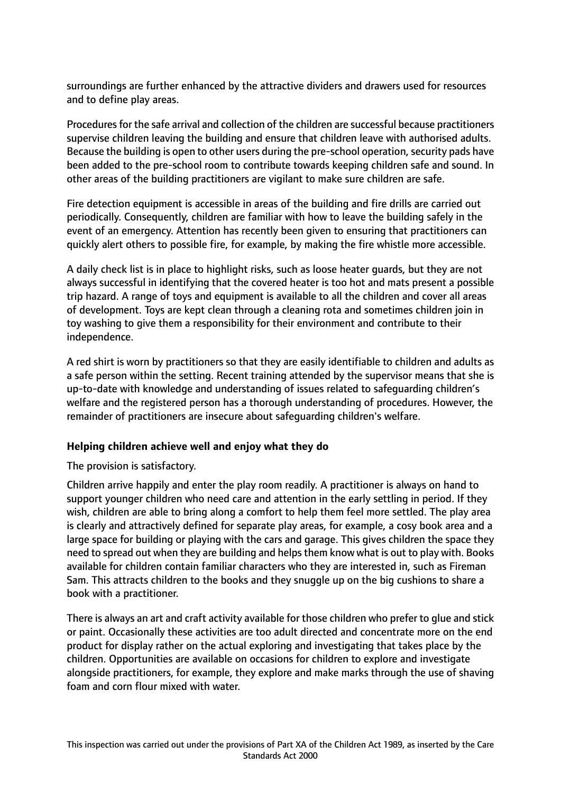surroundings are further enhanced by the attractive dividers and drawers used for resources and to define play areas.

Procedures for the safe arrival and collection of the children are successful because practitioners supervise children leaving the building and ensure that children leave with authorised adults. Because the building is open to other users during the pre-school operation, security pads have been added to the pre-school room to contribute towards keeping children safe and sound. In other areas of the building practitioners are vigilant to make sure children are safe.

Fire detection equipment is accessible in areas of the building and fire drills are carried out periodically. Consequently, children are familiar with how to leave the building safely in the event of an emergency. Attention has recently been given to ensuring that practitioners can quickly alert others to possible fire, for example, by making the fire whistle more accessible.

A daily check list is in place to highlight risks, such as loose heater guards, but they are not always successful in identifying that the covered heater is too hot and mats present a possible trip hazard. A range of toys and equipment is available to all the children and cover all areas of development. Toys are kept clean through a cleaning rota and sometimes children join in toy washing to give them a responsibility for their environment and contribute to their independence.

A red shirt is worn by practitioners so that they are easily identifiable to children and adults as a safe person within the setting. Recent training attended by the supervisor means that she is up-to-date with knowledge and understanding of issues related to safeguarding children's welfare and the registered person has a thorough understanding of procedures. However, the remainder of practitioners are insecure about safeguarding children's welfare.

### **Helping children achieve well and enjoy what they do**

The provision is satisfactory.

Children arrive happily and enter the play room readily. A practitioner is always on hand to support younger children who need care and attention in the early settling in period. If they wish, children are able to bring along a comfort to help them feel more settled. The play area is clearly and attractively defined for separate play areas, for example, a cosy book area and a large space for building or playing with the cars and garage. This gives children the space they need to spread out when they are building and helps them know what is out to play with. Books available for children contain familiar characters who they are interested in, such as Fireman Sam. This attracts children to the books and they snuggle up on the big cushions to share a book with a practitioner.

There is always an art and craft activity available for those children who prefer to glue and stick or paint. Occasionally these activities are too adult directed and concentrate more on the end product for display rather on the actual exploring and investigating that takes place by the children. Opportunities are available on occasions for children to explore and investigate alongside practitioners, for example, they explore and make marks through the use of shaving foam and corn flour mixed with water.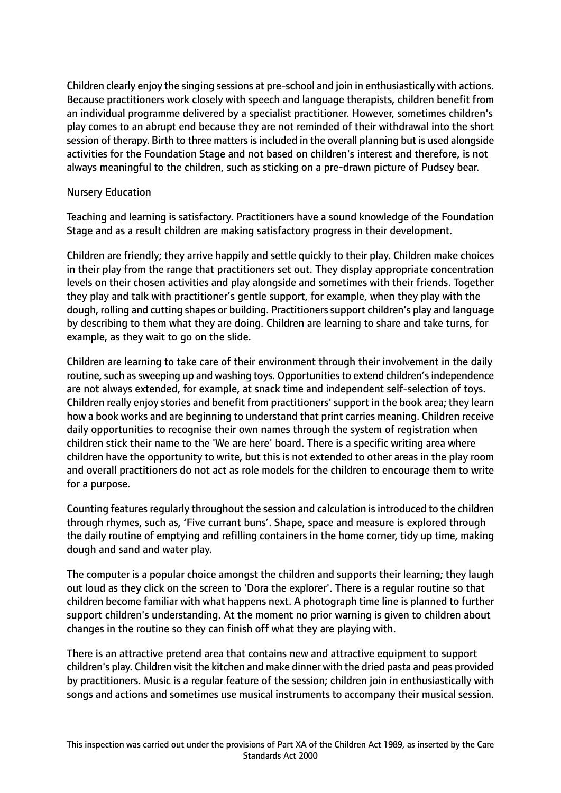Children clearly enjoy the singing sessions at pre-school and join in enthusiastically with actions. Because practitioners work closely with speech and language therapists, children benefit from an individual programme delivered by a specialist practitioner. However, sometimes children's play comes to an abrupt end because they are not reminded of their withdrawal into the short session of therapy. Birth to three matters is included in the overall planning but is used alongside activities for the Foundation Stage and not based on children's interest and therefore, is not always meaningful to the children, such as sticking on a pre-drawn picture of Pudsey bear.

### Nursery Education

Teaching and learning is satisfactory. Practitioners have a sound knowledge of the Foundation Stage and as a result children are making satisfactory progress in their development.

Children are friendly; they arrive happily and settle quickly to their play. Children make choices in their play from the range that practitioners set out. They display appropriate concentration levels on their chosen activities and play alongside and sometimes with their friends. Together they play and talk with practitioner's gentle support, for example, when they play with the dough, rolling and cutting shapes or building. Practitioners support children's play and language by describing to them what they are doing. Children are learning to share and take turns, for example, as they wait to go on the slide.

Children are learning to take care of their environment through their involvement in the daily routine, such as sweeping up and washing toys. Opportunities to extend children's independence are not always extended, for example, at snack time and independent self-selection of toys. Children really enjoy stories and benefit from practitioners'support in the book area; they learn how a book works and are beginning to understand that print carries meaning. Children receive daily opportunities to recognise their own names through the system of registration when children stick their name to the 'We are here' board. There is a specific writing area where children have the opportunity to write, but this is not extended to other areas in the play room and overall practitioners do not act as role models for the children to encourage them to write for a purpose.

Counting features regularly throughout the session and calculation is introduced to the children through rhymes, such as, 'Five currant buns'. Shape, space and measure is explored through the daily routine of emptying and refilling containers in the home corner, tidy up time, making dough and sand and water play.

The computer is a popular choice amongst the children and supports their learning; they laugh out loud as they click on the screen to 'Dora the explorer'. There is a regular routine so that children become familiar with what happens next. A photograph time line is planned to further support children's understanding. At the moment no prior warning is given to children about changes in the routine so they can finish off what they are playing with.

There is an attractive pretend area that contains new and attractive equipment to support children's play. Children visit the kitchen and make dinner with the dried pasta and peas provided by practitioners. Music is a regular feature of the session; children join in enthusiastically with songs and actions and sometimes use musical instruments to accompany their musical session.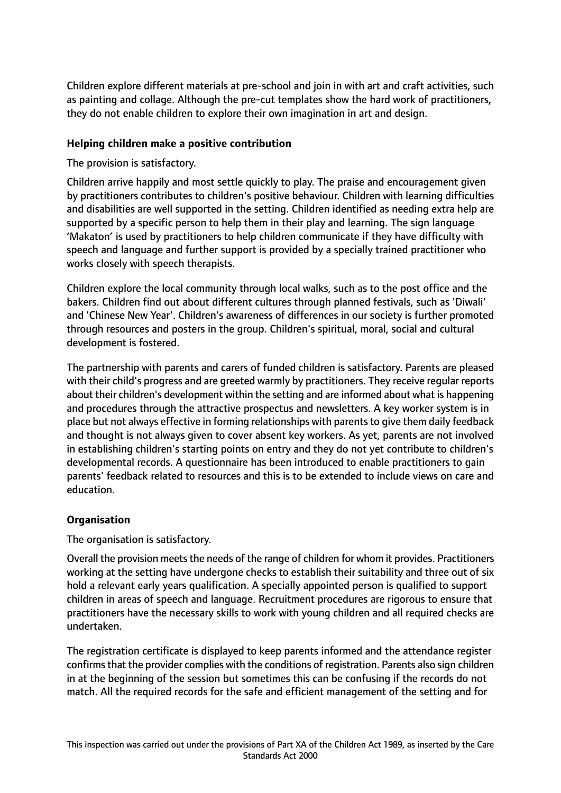Children explore different materials at pre-school and join in with art and craft activities, such as painting and collage. Although the pre-cut templates show the hard work of practitioners, they do not enable children to explore their own imagination in art and design.

## **Helping children make a positive contribution**

The provision is satisfactory.

Children arrive happily and most settle quickly to play. The praise and encouragement given by practitioners contributes to children's positive behaviour. Children with learning difficulties and disabilities are well supported in the setting. Children identified as needing extra help are supported by a specific person to help them in their play and learning. The sign language 'Makaton' is used by practitioners to help children communicate if they have difficulty with speech and language and further support is provided by a specially trained practitioner who works closely with speech therapists.

Children explore the local community through local walks, such as to the post office and the bakers. Children find out about different cultures through planned festivals, such as 'Diwali' and 'Chinese New Year'. Children's awareness of differences in our society is further promoted through resources and posters in the group. Children's spiritual, moral, social and cultural development is fostered.

The partnership with parents and carers of funded children is satisfactory. Parents are pleased with their child's progress and are greeted warmly by practitioners. They receive regular reports about their children's development within the setting and are informed about what is happening and procedures through the attractive prospectus and newsletters. A key worker system is in place but not always effective in forming relationships with parentsto give them daily feedback and thought is not always given to cover absent key workers. As yet, parents are not involved in establishing children's starting points on entry and they do not yet contribute to children's developmental records. A questionnaire has been introduced to enable practitioners to gain parents' feedback related to resources and this is to be extended to include views on care and education.

## **Organisation**

The organisation is satisfactory.

Overall the provision meets the needs of the range of children for whom it provides. Practitioners working at the setting have undergone checks to establish their suitability and three out of six hold a relevant early years qualification. A specially appointed person is qualified to support children in areas of speech and language. Recruitment procedures are rigorous to ensure that practitioners have the necessary skills to work with young children and all required checks are undertaken.

The registration certificate is displayed to keep parents informed and the attendance register confirms that the provider complies with the conditions of registration. Parents also sign children in at the beginning of the session but sometimes this can be confusing if the records do not match. All the required records for the safe and efficient management of the setting and for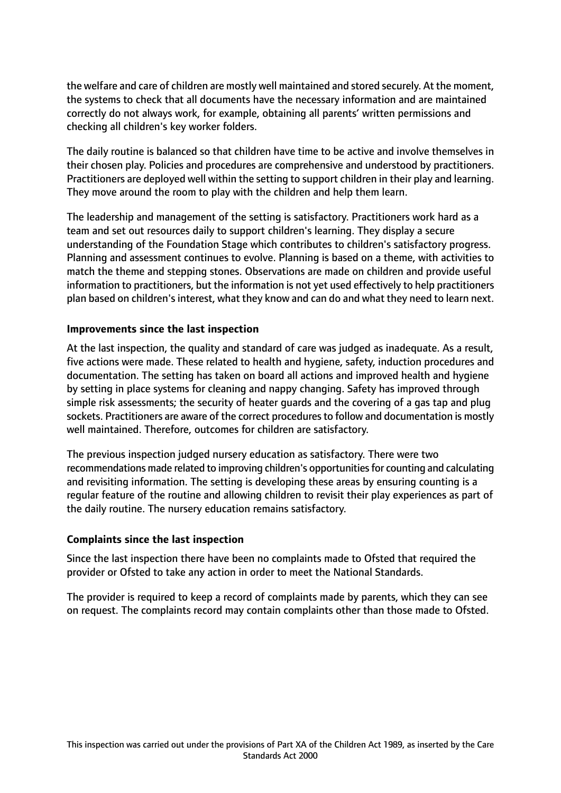the welfare and care of children are mostly well maintained and stored securely. At the moment, the systems to check that all documents have the necessary information and are maintained correctly do not always work, for example, obtaining all parents' written permissions and checking all children's key worker folders.

The daily routine is balanced so that children have time to be active and involve themselves in their chosen play. Policies and procedures are comprehensive and understood by practitioners. Practitioners are deployed well within the setting to support children in their play and learning. They move around the room to play with the children and help them learn.

The leadership and management of the setting is satisfactory. Practitioners work hard as a team and set out resources daily to support children's learning. They display a secure understanding of the Foundation Stage which contributes to children's satisfactory progress. Planning and assessment continues to evolve. Planning is based on a theme, with activities to match the theme and stepping stones. Observations are made on children and provide useful information to practitioners, but the information is not yet used effectively to help practitioners plan based on children's interest, what they know and can do and what they need to learn next.

### **Improvements since the last inspection**

At the last inspection, the quality and standard of care was judged as inadequate. As a result, five actions were made. These related to health and hygiene, safety, induction procedures and documentation. The setting has taken on board all actions and improved health and hygiene by setting in place systems for cleaning and nappy changing. Safety has improved through simple risk assessments; the security of heater guards and the covering of a gas tap and plug sockets. Practitioners are aware of the correct procedures to follow and documentation is mostly well maintained. Therefore, outcomes for children are satisfactory.

The previous inspection judged nursery education as satisfactory. There were two recommendations made related to improving children's opportunities for counting and calculating and revisiting information. The setting is developing these areas by ensuring counting is a regular feature of the routine and allowing children to revisit their play experiences as part of the daily routine. The nursery education remains satisfactory.

### **Complaints since the last inspection**

Since the last inspection there have been no complaints made to Ofsted that required the provider or Ofsted to take any action in order to meet the National Standards.

The provider is required to keep a record of complaints made by parents, which they can see on request. The complaints record may contain complaints other than those made to Ofsted.